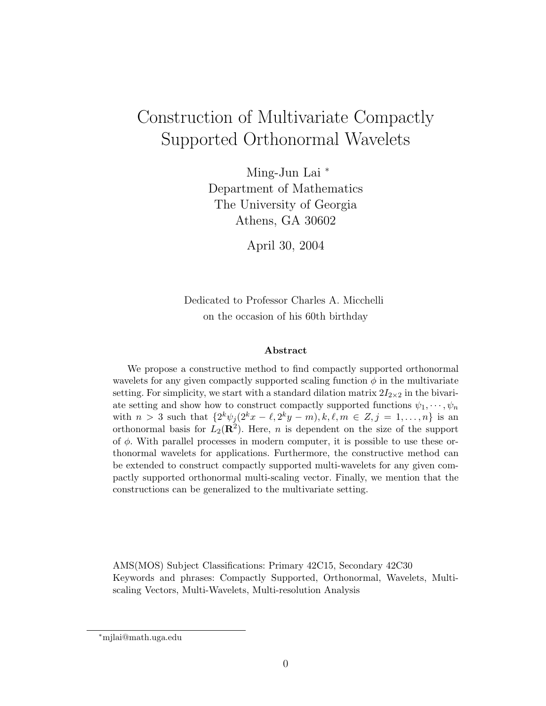# Construction of Multivariate Compactly Supported Orthonormal Wavelets

Ming-Jun Lai <sup>∗</sup> Department of Mathematics The University of Georgia Athens, GA 30602

April 30, 2004

Dedicated to Professor Charles A. Micchelli on the occasion of his 60th birthday

#### Abstract

We propose a constructive method to find compactly supported orthonormal wavelets for any given compactly supported scaling function  $\phi$  in the multivariate setting. For simplicity, we start with a standard dilation matrix  $2I_{2\times 2}$  in the bivariate setting and show how to construct compactly supported functions  $\psi_1, \dots, \psi_n$ with  $n > 3$  such that  $\{2^k \psi_j (2^k x - \ell, 2^k y - m), k, \ell, m \in \mathbb{Z}, j = 1, ..., n\}$  is an orthonormal basis for  $L_2(\mathbf{R}^2)$ . Here, n is dependent on the size of the support of  $\phi$ . With parallel processes in modern computer, it is possible to use these orthonormal wavelets for applications. Furthermore, the constructive method can be extended to construct compactly supported multi-wavelets for any given compactly supported orthonormal multi-scaling vector. Finally, we mention that the constructions can be generalized to the multivariate setting.

AMS(MOS) Subject Classifications: Primary 42C15, Secondary 42C30 Keywords and phrases: Compactly Supported, Orthonormal, Wavelets, Multiscaling Vectors, Multi-Wavelets, Multi-resolution Analysis

<sup>∗</sup>mjlai@math.uga.edu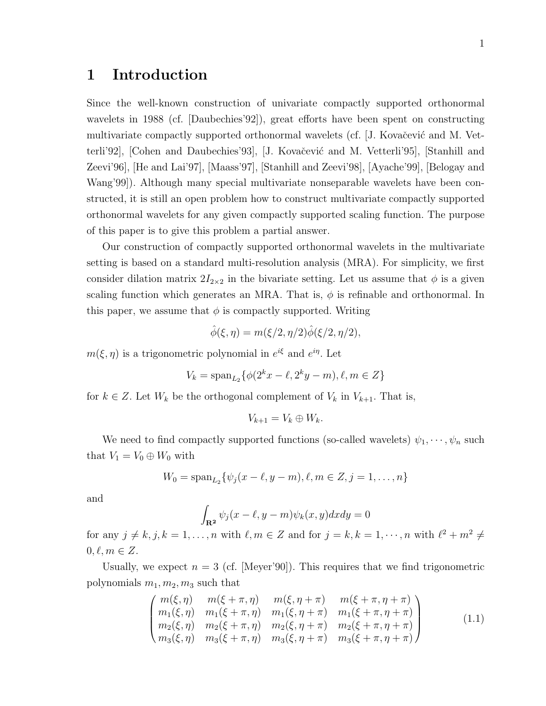### 1 Introduction

Since the well-known construction of univariate compactly supported orthonormal wavelets in 1988 (cf. [Daubechies'92]), great efforts have been spent on constructing multivariate compactly supported orthonormal wavelets (cf. [J. Kovačević and M. Vetterli'92], [Cohen and Daubechies'93], [J. Kovačević and M. Vetterli'95], [Stanhill and Zeevi'96], [He and Lai'97], [Maass'97], [Stanhill and Zeevi'98], [Ayache'99], [Belogay and Wang'99]). Although many special multivariate nonseparable wavelets have been constructed, it is still an open problem how to construct multivariate compactly supported orthonormal wavelets for any given compactly supported scaling function. The purpose of this paper is to give this problem a partial answer.

Our construction of compactly supported orthonormal wavelets in the multivariate setting is based on a standard multi-resolution analysis (MRA). For simplicity, we first consider dilation matrix  $2I_{2\times2}$  in the bivariate setting. Let us assume that  $\phi$  is a given scaling function which generates an MRA. That is,  $\phi$  is refinable and orthonormal. In this paper, we assume that  $\phi$  is compactly supported. Writing

$$
\hat{\phi}(\xi,\eta) = m(\xi/2,\eta/2)\hat{\phi}(\xi/2,\eta/2),
$$

 $m(\xi, \eta)$  is a trigonometric polynomial in  $e^{i\xi}$  and  $e^{i\eta}$ . Let

$$
V_k = \text{span}_{L_2} \{ \phi(2^k x - \ell, 2^k y - m), \ell, m \in Z \}
$$

for  $k \in \mathbb{Z}$ . Let  $W_k$  be the orthogonal complement of  $V_k$  in  $V_{k+1}$ . That is,

$$
V_{k+1} = V_k \oplus W_k.
$$

We need to find compactly supported functions (so-called wavelets)  $\psi_1, \dots, \psi_n$  such that  $V_1 = V_0 \oplus W_0$  with

$$
W_0 = \mathrm{span}_{L_2} \{ \psi_j(x - \ell, y - m), \ell, m \in Z, j = 1, \dots, n \}
$$

and

$$
\int_{\mathbf{R}^2} \psi_j(x - \ell, y - m) \psi_k(x, y) dx dy = 0
$$

for any  $j \neq k, j, k = 1, ..., n$  with  $\ell, m \in \mathbb{Z}$  and for  $j = k, k = 1, ..., n$  with  $\ell^2 + m^2 \neq \ell^2$  $0, \ell, m \in Z$ .

Usually, we expect  $n = 3$  (cf. [Meyer'90]). This requires that we find trigonometric polynomials  $m_1, m_2, m_3$  such that

$$
\begin{pmatrix}\nm(\xi,\eta) & m(\xi+\pi,\eta) & m(\xi,\eta+\pi) & m(\xi+\pi,\eta+\pi) \\
m_1(\xi,\eta) & m_1(\xi+\pi,\eta) & m_1(\xi,\eta+\pi) & m_1(\xi+\pi,\eta+\pi) \\
m_2(\xi,\eta) & m_2(\xi+\pi,\eta) & m_2(\xi,\eta+\pi) & m_2(\xi+\pi,\eta+\pi) \\
m_3(\xi,\eta) & m_3(\xi+\pi,\eta) & m_3(\xi,\eta+\pi) & m_3(\xi+\pi,\eta+\pi)\n\end{pmatrix}
$$
\n(1.1)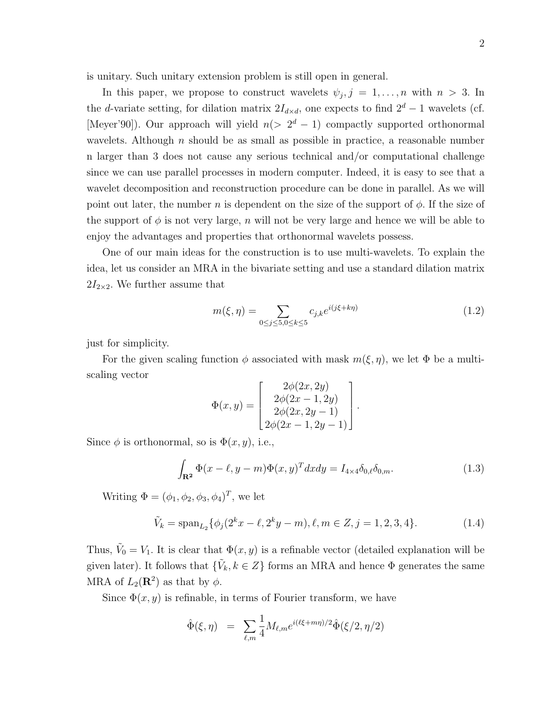is unitary. Such unitary extension problem is still open in general.

In this paper, we propose to construct wavelets  $\psi_j, j = 1, \ldots, n$  with  $n > 3$ . In the d-variate setting, for dilation matrix  $2I_{d\times d}$ , one expects to find  $2^d - 1$  wavelets (cf. [Meyer'90]). Our approach will yield  $n(> 2<sup>d</sup> - 1)$  compactly supported orthonormal wavelets. Although  $n$  should be as small as possible in practice, a reasonable number n larger than 3 does not cause any serious technical and/or computational challenge since we can use parallel processes in modern computer. Indeed, it is easy to see that a wavelet decomposition and reconstruction procedure can be done in parallel. As we will point out later, the number n is dependent on the size of the support of  $\phi$ . If the size of the support of  $\phi$  is not very large, n will not be very large and hence we will be able to enjoy the advantages and properties that orthonormal wavelets possess.

One of our main ideas for the construction is to use multi-wavelets. To explain the idea, let us consider an MRA in the bivariate setting and use a standard dilation matrix  $2I_{2\times2}$ . We further assume that

$$
m(\xi, \eta) = \sum_{0 \le j \le 5, 0 \le k \le 5} c_{j,k} e^{i(j\xi + k\eta)} \tag{1.2}
$$

just for simplicity.

For the given scaling function  $\phi$  associated with mask  $m(\xi, \eta)$ , we let  $\Phi$  be a multiscaling vector  $\overline{a}$  $\overline{a}$ 

$$
\Phi(x,y) = \begin{bmatrix} 2\phi(2x, 2y) \\ 2\phi(2x - 1, 2y) \\ 2\phi(2x, 2y - 1) \\ 2\phi(2x - 1, 2y - 1) \end{bmatrix}.
$$

Since  $\phi$  is orthonormal, so is  $\Phi(x, y)$ , i.e.,

$$
\int_{\mathbf{R}^2} \Phi(x - \ell, y - m) \Phi(x, y)^T dx dy = I_{4 \times 4} \delta_{0,\ell} \delta_{0,m}.
$$
\n(1.3)

Writing  $\Phi = (\phi_1, \phi_2, \phi_3, \phi_4)^T$ , we let

$$
\tilde{V}_k = \text{span}_{L_2} \{ \phi_j(2^k x - \ell, 2^k y - m), \ell, m \in Z, j = 1, 2, 3, 4 \}. \tag{1.4}
$$

Thus,  $\tilde{V}_0 = V_1$ . It is clear that  $\Phi(x, y)$  is a refinable vector (detailed explanation will be given later). It follows that  $\{\tilde{V}_k, k \in Z\}$  forms an MRA and hence  $\Phi$  generates the same MRA of  $L_2(\mathbf{R}^2)$  as that by  $\phi$ .

Since  $\Phi(x, y)$  is refinable, in terms of Fourier transform, we have

$$
\hat{\Phi}(\xi, \eta) = \sum_{\ell,m} \frac{1}{4} M_{\ell,m} e^{i(\ell \xi + m\eta)/2} \hat{\Phi}(\xi/2, \eta/2)
$$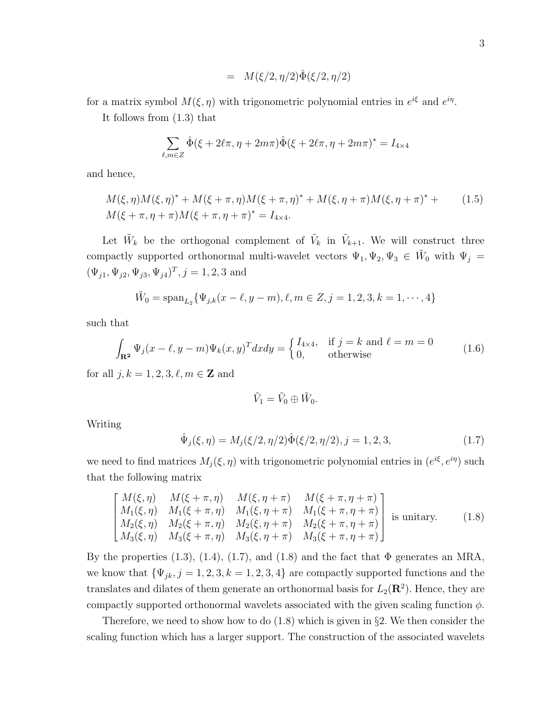$$
= M(\xi/2, \eta/2)\hat{\Phi}(\xi/2, \eta/2)
$$

for a matrix symbol  $M(\xi, \eta)$  with trigonometric polynomial entries in  $e^{i\xi}$  and  $e^{i\eta}$ .

It follows from (1.3) that

$$
\sum_{\ell,m\in Z} \hat{\Phi}(\xi + 2\ell\pi, \eta + 2m\pi) \hat{\Phi}(\xi + 2\ell\pi, \eta + 2m\pi)^* = I_{4\times 4}
$$

and hence,

$$
M(\xi, \eta)M(\xi, \eta)^* + M(\xi + \pi, \eta)M(\xi + \pi, \eta)^* + M(\xi, \eta + \pi)M(\xi, \eta + \pi)^* +
$$
  

$$
M(\xi + \pi, \eta + \pi)M(\xi + \pi, \eta + \pi)^* = I_{4\times 4}.
$$
 (1.5)

Let  $\tilde{W}_k$  be the orthogonal complement of  $\tilde{V}_k$  in  $\tilde{V}_{k+1}$ . We will construct three compactly supported orthonormal multi-wavelet vectors  $\Psi_1, \Psi_2, \Psi_3 \in W_0$  with  $\Psi_j =$  $(\Psi_{j1}, \Psi_{j2}, \Psi_{j3}, \Psi_{j4})^T, j = 1, 2, 3$  and

$$
\tilde{W}_0 = \mathrm{span}_{L_2} \{ \Psi_{j,k}(x - \ell, y - m), \ell, m \in \mathbb{Z}, j = 1, 2, 3, k = 1, \cdots, 4 \}
$$

such that

$$
\int_{\mathbf{R}^2} \Psi_j(x - \ell, y - m) \Psi_k(x, y)^T dx dy = \begin{cases} I_{4 \times 4}, & \text{if } j = k \text{ and } \ell = m = 0\\ 0, & \text{otherwise} \end{cases}
$$
(1.6)

for all  $j, k = 1, 2, 3, \ell, m \in \mathbb{Z}$  and

$$
\tilde{V}_1 = \tilde{V}_0 \oplus \tilde{W}_0.
$$

Writing

$$
\hat{\Psi}_j(\xi,\eta) = M_j(\xi/2,\eta/2)\hat{\Phi}(\xi/2,\eta/2), j = 1,2,3,
$$
\n(1.7)

we need to find matrices  $M_j(\xi, \eta)$  with trigonometric polynomial entries in  $(e^{i\xi}, e^{i\eta})$  such that the following matrix

$$
\begin{bmatrix}\nM(\xi,\eta) & M(\xi+\pi,\eta) & M(\xi,\eta+\pi) & M(\xi+\pi,\eta+\pi) \\
M_1(\xi,\eta) & M_1(\xi+\pi,\eta) & M_1(\xi,\eta+\pi) & M_1(\xi+\pi,\eta+\pi) \\
M_2(\xi,\eta) & M_2(\xi+\pi,\eta) & M_2(\xi,\eta+\pi) & M_2(\xi+\pi,\eta+\pi) \\
M_3(\xi,\eta) & M_3(\xi+\pi,\eta) & M_3(\xi,\eta+\pi) & M_3(\xi+\pi,\eta+\pi)\n\end{bmatrix}
$$
 is unitary. (1.8)

By the properties  $(1.3)$ ,  $(1.4)$ ,  $(1.7)$ , and  $(1.8)$  and the fact that  $\Phi$  generates an MRA, we know that  $\{\Psi_{jk}, j = 1, 2, 3, k = 1, 2, 3, 4\}$  are compactly supported functions and the translates and dilates of them generate an orthonormal basis for  $L_2(\mathbf{R}^2)$ . Hence, they are compactly supported orthonormal wavelets associated with the given scaling function  $\phi$ .

Therefore, we need to show how to do (1.8) which is given in §2. We then consider the scaling function which has a larger support. The construction of the associated wavelets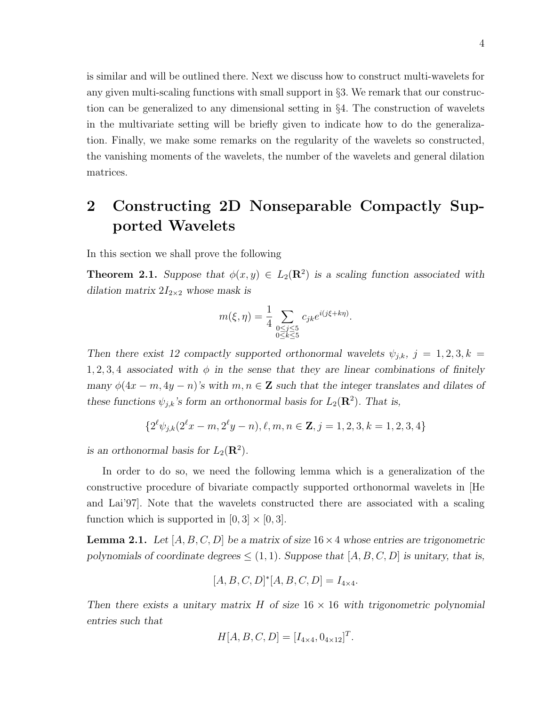is similar and will be outlined there. Next we discuss how to construct multi-wavelets for any given multi-scaling functions with small support in §3. We remark that our construction can be generalized to any dimensional setting in §4. The construction of wavelets in the multivariate setting will be briefly given to indicate how to do the generalization. Finally, we make some remarks on the regularity of the wavelets so constructed, the vanishing moments of the wavelets, the number of the wavelets and general dilation matrices.

### 2 Constructing 2D Nonseparable Compactly Supported Wavelets

In this section we shall prove the following

**Theorem 2.1.** Suppose that  $\phi(x, y) \in L_2(\mathbb{R}^2)$  is a scaling function associated with dilation matrix  $2I_{2\times2}$  whose mask is

$$
m(\xi, \eta) = \frac{1}{4} \sum_{\substack{0 \le j \le 5 \\ 0 \le k \le 5}} c_{jk} e^{i(j\xi + k\eta)}.
$$

Then there exist 12 compactly supported orthonormal wavelets  $\psi_{j,k}, j = 1, 2, 3, k =$ 1, 2, 3, 4 associated with  $\phi$  in the sense that they are linear combinations of finitely many  $\phi(4x - m, 4y - n)$ 's with  $m, n \in \mathbb{Z}$  such that the integer translates and dilates of these functions  $\psi_{j,k}$ 's form an orthonormal basis for  $L_2(\mathbf{R}^2)$ . That is,

$$
\{2^{\ell}\psi_{j,k}(2^{\ell}x-m,2^{\ell}y-n),\ell,m,n\in\mathbf{Z},j=1,2,3,k=1,2,3,4\}
$$

is an orthonormal basis for  $L_2(\mathbf{R}^2)$ .

In order to do so, we need the following lemma which is a generalization of the constructive procedure of bivariate compactly supported orthonormal wavelets in [He and Lai'97]. Note that the wavelets constructed there are associated with a scaling function which is supported in  $[0, 3] \times [0, 3]$ .

**Lemma 2.1.** Let  $[A, B, C, D]$  be a matrix of size  $16 \times 4$  whose entries are trigonometric polynomials of coordinate degrees  $\leq$  (1, 1). Suppose that [A, B, C, D] is unitary, that is,

$$
[A, B, C, D]^*[A, B, C, D] = I_{4 \times 4}.
$$

Then there exists a unitary matrix  $H$  of size  $16 \times 16$  with trigonometric polynomial entries such that

$$
H[A, B, C, D] = [I_{4 \times 4}, 0_{4 \times 12}]^{T}.
$$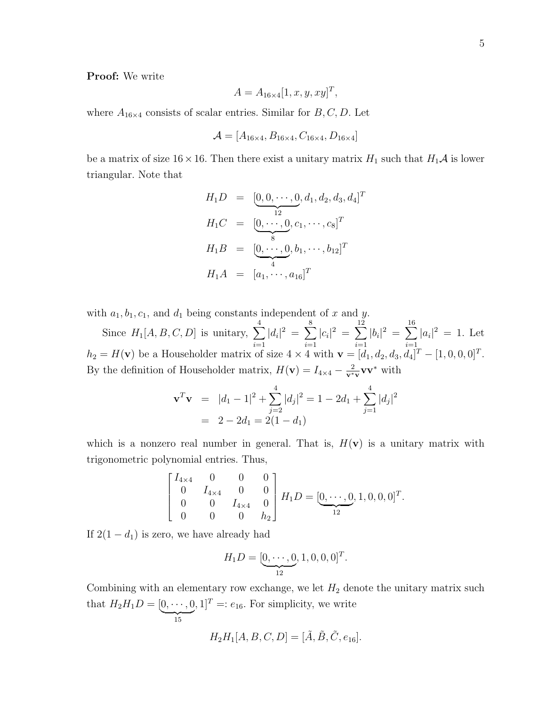#### Proof: We write

$$
A = A_{16 \times 4} [1, x, y, xy]^T
$$

,

where  $A_{16\times 4}$  consists of scalar entries. Similar for  $B, C, D$ . Let

$$
\mathcal{A} = [A_{16 \times 4}, B_{16 \times 4}, C_{16 \times 4}, D_{16 \times 4}]
$$

be a matrix of size  $16 \times 16$ . Then there exist a unitary matrix  $H_1$  such that  $H_1\mathcal{A}$  is lower triangular. Note that

$$
H_1D = \left[ \underbrace{0, 0, \cdots, 0}_{12}, d_1, d_2, d_3, d_4 \right]^T
$$
  
\n
$$
H_1C = \underbrace{[0, \cdots, 0}_{8}, c_1, \cdots, c_8]^T
$$
  
\n
$$
H_1B = \underbrace{[0, \cdots, 0}_{4}, b_1, \cdots, b_{12}]^T
$$
  
\n
$$
H_1A = [a_1, \cdots, a_{16}]^T
$$

with  $a_1, b_1, c_1$ , and  $d_1$  being constants independent of x and y.

Since  $H_1[A, B, C, D]$  is unitary,  $\sum^4$  $i=1$  $|d_i|^2 = \sum_{i=1}^{8}$  $i=1$  $|c_i|^2 = \sum^{12}$  $i=1$  $|b_i|^2 = \sum^{16}$  $i=1$  $|a_i|^2 = 1$ . Let  $h_2 = H(\mathbf{v})$  be a Householder matrix of size  $4 \times 4$  with  $\mathbf{v} = [d_1, d_2, d_3, d_4]^T - [1, 0, 0, 0]^T$ . By the definition of Householder matrix,  $H(\mathbf{v}) = I_{4 \times 4} - \frac{2}{\mathbf{v}^*}$  $\frac{2}{v^*v}vv^*$  with

$$
\mathbf{v}^T \mathbf{v} = |d_1 - 1|^2 + \sum_{j=2}^4 |d_j|^2 = 1 - 2d_1 + \sum_{j=1}^4 |d_j|^2
$$
  
= 2 - 2d\_1 = 2(1 - d\_1)

which is a nonzero real number in general. That is,  $H(\mathbf{v})$  is a unitary matrix with trigonometric polynomial entries. Thus,

$$
\begin{bmatrix} I_{4\times 4} & 0 & 0 & 0 \\ 0 & I_{4\times 4} & 0 & 0 \\ 0 & 0 & I_{4\times 4} & 0 \\ 0 & 0 & 0 & h_2 \end{bmatrix} H_1 D = [\underbrace{0, \cdots, 0}_{12}, 1, 0, 0, 0]^T.
$$

If  $2(1 - d_1)$  is zero, we have already had

$$
H_1D = [\underbrace{0, \cdots, 0}_{12}, 1, 0, 0, 0]^T.
$$

Combining with an elementary row exchange, we let  $H_2$  denote the unitary matrix such that  $H_2H_1D = [0, \dots, 0]$ 15 ,  $1]^T =: e_{16}$ . For simplicity, we write

$$
H_2H_1[A,B,C,D]=[\tilde A,\tilde B,\tilde C,e_{16}].
$$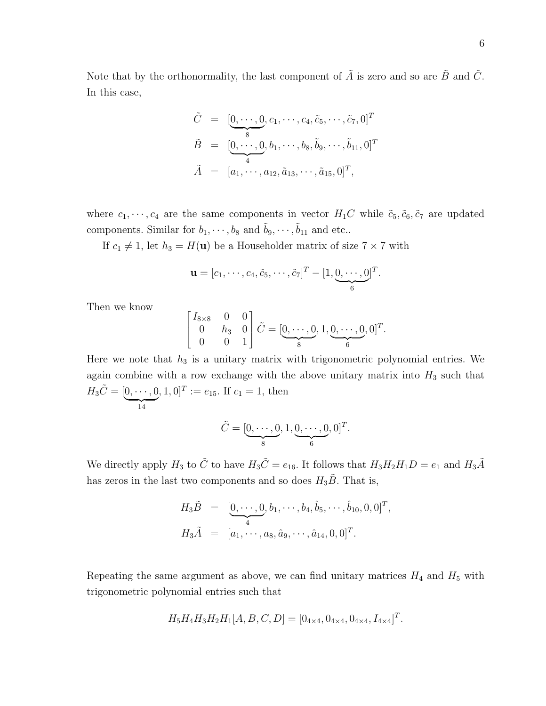Note that by the orthonormality, the last component of  $\tilde{A}$  is zero and so are  $\tilde{B}$  and  $\tilde{C}$ . In this case,

$$
\tilde{C} = [\underbrace{0, \cdots, 0}_{8}, c_1, \cdots, c_4, \tilde{c}_5, \cdots, \tilde{c}_7, 0]^T
$$
\n
$$
\tilde{B} = [\underbrace{0, \cdots, 0}_{4}, b_1, \cdots, b_8, \tilde{b}_9, \cdots, \tilde{b}_{11}, 0]^T
$$
\n
$$
\tilde{A} = [a_1, \cdots, a_{12}, \tilde{a}_{13}, \cdots, \tilde{a}_{15}, 0]^T,
$$

where  $c_1, \dots, c_4$  are the same components in vector  $H_1C$  while  $\tilde{c}_5, \tilde{c}_6, \tilde{c}_7$  are updated components. Similar for  $b_1, \dots, b_8$  and  $\tilde{b}_9, \dots, \tilde{b}_{11}$  and etc..

If  $c_1 \neq 1$ , let  $h_3 = H(\mathbf{u})$  be a Householder matrix of size  $7 \times 7$  with

$$
\mathbf{u} = [c_1, \cdots, c_4, \tilde{c}_5, \cdots, \tilde{c}_7]^T - [1, \underbrace{0, \cdots, 0}_{6}]^T.
$$

Then we know

$$
\begin{bmatrix} I_{8\times 8} & 0 & 0 \\ 0 & h_3 & 0 \\ 0 & 0 & 1 \end{bmatrix} \tilde{C} = [\underbrace{0, \cdots, 0}_{8}, 1, \underbrace{0, \cdots, 0}_{6}, 0]^T.
$$

Here we note that  $h_3$  is a unitary matrix with trigonometric polynomial entries. We again combine with a row exchange with the above unitary matrix into  $H_3$  such that  $H_3\tilde{C} = [\underbrace{0,\cdots,0}]$ 14  $, 1, 0]^T := e_{15}.$  If  $c_1 = 1$ , then

$$
\tilde{C} = [\underbrace{0, \cdots, 0}_{8}, 1, \underbrace{0, \cdots, 0}_{6}, 0]^T.
$$

We directly apply  $H_3$  to  $\tilde{C}$  to have  $H_3\tilde{C} = e_{16}$ . It follows that  $H_3H_2H_1D = e_1$  and  $H_3\tilde{A}$ has zeros in the last two components and so does  $H_3\tilde{B}$ . That is,

$$
H_3\tilde{B} = [\underbrace{0, \cdots, 0}_{4}, b_1, \cdots, b_4, \hat{b}_5, \cdots, \hat{b}_{10}, 0, 0]^T,
$$
  
\n
$$
H_3\tilde{A} = [a_1, \cdots, a_8, \hat{a}_9, \cdots, \hat{a}_{14}, 0, 0]^T.
$$

Repeating the same argument as above, we can find unitary matrices  $H_4$  and  $H_5$  with trigonometric polynomial entries such that

$$
H_5H_4H_3H_2H_1[A, B, C, D] = [0_{4 \times 4}, 0_{4 \times 4}, 0_{4 \times 4}, I_{4 \times 4}]^T.
$$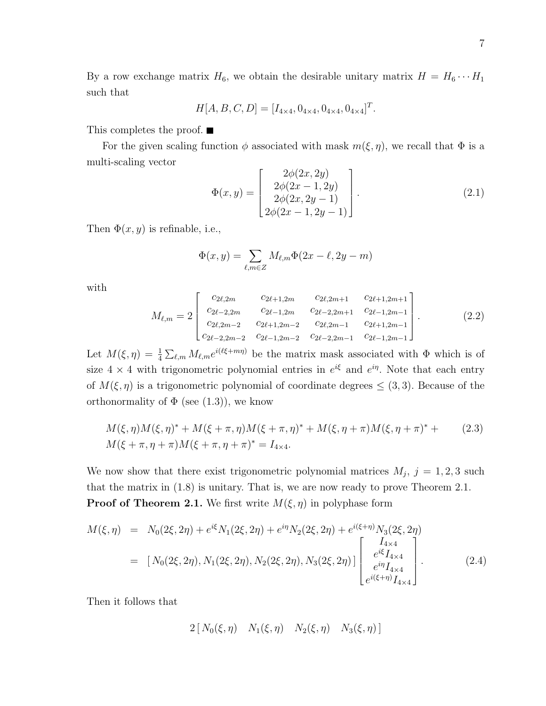By a row exchange matrix  $H_6$ , we obtain the desirable unitary matrix  $H = H_6 \cdots H_1$ such that

$$
H[A, B, C, D] = [I_{4 \times 4}, 0_{4 \times 4}, 0_{4 \times 4}, 0_{4 \times 4}]^{T}.
$$

This completes the proof.  $\blacksquare$ 

For the given scaling function  $\phi$  associated with mask  $m(\xi, \eta)$ , we recall that  $\Phi$  is a multi-scaling vector  $\overline{r}$  $2/(2a)$  $\overline{a}$ 

$$
\Phi(x,y) = \begin{bmatrix} 2\phi(2x, 2y) \\ 2\phi(2x - 1, 2y) \\ 2\phi(2x, 2y - 1) \\ 2\phi(2x - 1, 2y - 1) \end{bmatrix} . \tag{2.1}
$$

Then  $\Phi(x, y)$  is refinable, i.e.,

$$
\Phi(x,y) = \sum_{\ell,m \in \mathbb{Z}} M_{\ell,m} \Phi(2x - \ell, 2y - m)
$$

with

$$
M_{\ell,m} = 2 \begin{bmatrix} c_{2\ell,2m} & c_{2\ell+1,2m} & c_{2\ell,2m+1} & c_{2\ell+1,2m+1} \\ c_{2\ell-2,2m} & c_{2\ell-1,2m} & c_{2\ell-2,2m+1} & c_{2\ell-1,2m-1} \\ c_{2\ell,2m-2} & c_{2\ell+1,2m-2} & c_{2\ell,2m-1} & c_{2\ell+1,2m-1} \\ c_{2\ell-2,2m-2} & c_{2\ell-1,2m-2} & c_{2\ell-2,2m-1} & c_{2\ell-1,2m-1} \end{bmatrix} . \tag{2.2}
$$

Let  $M(\xi, \eta) = \frac{1}{4}$  $\sum_{\ell,m} M_{\ell,m} e^{i(\ell \xi+m\eta)}$  be the matrix mask associated with  $\Phi$  which is of size  $4 \times 4$  with trigonometric polynomial entries in  $e^{i\xi}$  and  $e^{i\eta}$ . Note that each entry of  $M(\xi, \eta)$  is a trigonometric polynomial of coordinate degrees  $\leq (3, 3)$ . Because of the orthonormality of  $\Phi$  (see (1.3)), we know

$$
M(\xi, \eta)M(\xi, \eta)^* + M(\xi + \pi, \eta)M(\xi + \pi, \eta)^* + M(\xi, \eta + \pi)M(\xi, \eta + \pi)^* +
$$
  
\n
$$
M(\xi + \pi, \eta + \pi)M(\xi + \pi, \eta + \pi)^* = I_{4 \times 4}.
$$
\n(2.3)

We now show that there exist trigonometric polynomial matrices  $M_j$ ,  $j = 1, 2, 3$  such that the matrix in (1.8) is unitary. That is, we are now ready to prove Theorem 2.1. **Proof of Theorem 2.1.** We first write  $M(\xi, \eta)$  in polyphase form

$$
M(\xi, \eta) = N_0(2\xi, 2\eta) + e^{i\xi} N_1(2\xi, 2\eta) + e^{i\eta} N_2(2\xi, 2\eta) + e^{i(\xi + \eta)} N_3(2\xi, 2\eta)
$$
  

$$
= [N_0(2\xi, 2\eta), N_1(2\xi, 2\eta), N_2(2\xi, 2\eta), N_3(2\xi, 2\eta)] \begin{bmatrix} I_{4\times4} \\ e^{i\xi} I_{4\times4} \\ e^{i\eta} I_{4\times4} \\ e^{i(\xi + \eta)} I_{4\times4} \end{bmatrix} .
$$
 (2.4)

Then it follows that

$$
2[N_0(\xi,\eta) \quad N_1(\xi,\eta) \quad N_2(\xi,\eta) \quad N_3(\xi,\eta)]
$$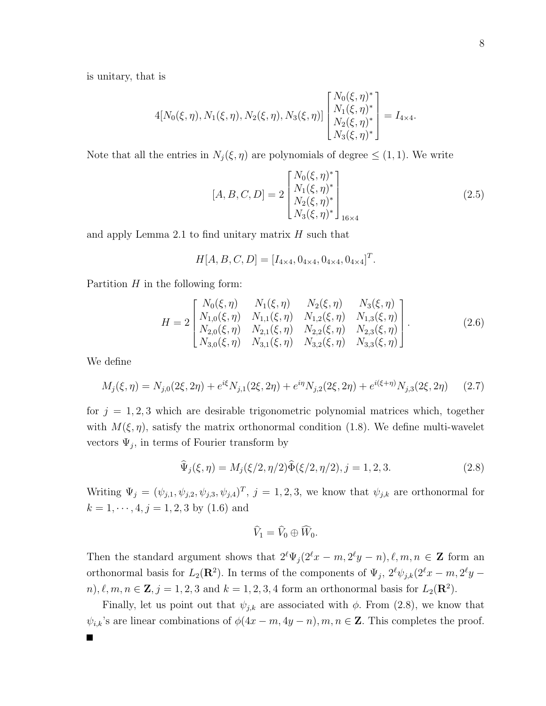is unitary, that is

$$
4[N_0(\xi,\eta), N_1(\xi,\eta), N_2(\xi,\eta), N_3(\xi,\eta)] \begin{bmatrix} N_0(\xi,\eta)^* \\ N_1(\xi,\eta)^* \\ N_2(\xi,\eta)^* \\ N_3(\xi,\eta)^* \end{bmatrix} = I_{4\times 4}.
$$

Note that all the entries in  $N_j(\xi, \eta)$  are polynomials of degree  $\leq (1, 1)$ . We write

$$
[A, B, C, D] = 2 \begin{bmatrix} N_0(\xi, \eta)^* \\ N_1(\xi, \eta)^* \\ N_2(\xi, \eta)^* \\ N_3(\xi, \eta)^* \end{bmatrix}_{16 \times 4}
$$
 (2.5)

.

and apply Lemma 2.1 to find unitary matrix  $H$  such that

$$
H[A, B, C, D] = [I_{4 \times 4}, 0_{4 \times 4}, 0_{4 \times 4}, 0_{4 \times 4}]^{T}
$$

Partition  $H$  in the following form:

$$
H = 2 \begin{bmatrix} N_0(\xi, \eta) & N_1(\xi, \eta) & N_2(\xi, \eta) & N_3(\xi, \eta) \\ N_{1,0}(\xi, \eta) & N_{1,1}(\xi, \eta) & N_{1,2}(\xi, \eta) & N_{1,3}(\xi, \eta) \\ N_{2,0}(\xi, \eta) & N_{2,1}(\xi, \eta) & N_{2,2}(\xi, \eta) & N_{2,3}(\xi, \eta) \\ N_{3,0}(\xi, \eta) & N_{3,1}(\xi, \eta) & N_{3,2}(\xi, \eta) & N_{3,3}(\xi, \eta) \end{bmatrix} .
$$
 (2.6)

We define

$$
M_j(\xi, \eta) = N_{j,0}(2\xi, 2\eta) + e^{i\xi} N_{j,1}(2\xi, 2\eta) + e^{i\eta} N_{j,2}(2\xi, 2\eta) + e^{i(\xi + \eta)} N_{j,3}(2\xi, 2\eta) \tag{2.7}
$$

for  $j = 1, 2, 3$  which are desirable trigonometric polynomial matrices which, together with  $M(\xi, \eta)$ , satisfy the matrix orthonormal condition (1.8). We define multi-wavelet vectors  $\Psi_j$ , in terms of Fourier transform by

$$
\widehat{\Psi}_j(\xi,\eta) = M_j(\xi/2,\eta/2)\widehat{\Phi}(\xi/2,\eta/2), j = 1,2,3.
$$
\n(2.8)

Writing  $\Psi_j = (\psi_{j,1}, \psi_{j,2}, \psi_{j,3}, \psi_{j,4})^T$ ,  $j = 1, 2, 3$ , we know that  $\psi_{j,k}$  are orthonormal for  $k = 1, \dots, 4, j = 1, 2, 3$  by  $(1.6)$  and

$$
\widehat{V}_1 = \widehat{V}_0 \oplus \widehat{W}_0.
$$

Then the standard argument shows that  $2^{\ell} \Psi_j (2^{\ell} x - m, 2^{\ell} y - n), \ell, m, n \in \mathbb{Z}$  form an orthonormal basis for  $L_2(\mathbf{R}^2)$ . In terms of the components of  $\Psi_j$ ,  $2^{\ell} \psi_{j,k} (2^{\ell} x - m, 2^{\ell} y$  $n, \ell, m, n \in \mathbb{Z}, j = 1, 2, 3$  and  $k = 1, 2, 3, 4$  form an orthonormal basis for  $L_2(\mathbb{R}^2)$ .

Finally, let us point out that  $\psi_{j,k}$  are associated with  $\phi$ . From (2.8), we know that  $\psi_{i,k}$ 's are linear combinations of  $\phi(4x-m, 4y-n), m, n \in \mathbb{Z}$ . This completes the proof.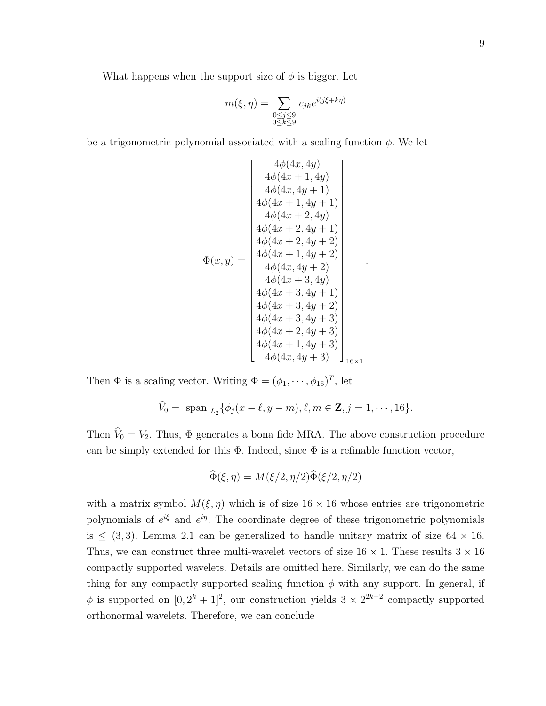What happens when the support size of  $\phi$  is bigger. Let

$$
m(\xi, \eta) = \sum_{\substack{0 \le j \le 9\\0 \le k \le 9}} c_{jk} e^{i(j\xi + k\eta)}
$$

be a trigonometric polynomial associated with a scaling function  $\phi$ . We let

$$
\Phi(x,y) = \begin{bmatrix}\n4\phi(4x, 4y) \\
4\phi(4x + 1, 4y) \\
4\phi(4x, 4y + 1) \\
4\phi(4x + 1, 4y + 1) \\
4\phi(4x + 2, 4y) \\
4\phi(4x + 2, 4y + 1) \\
4\phi(4x + 2, 4y + 2) \\
4\phi(4x + 1, 4y + 2) \\
4\phi(4x, 4y + 2) \\
4\phi(4x + 3, 4y) \\
4\phi(4x + 3, 4y + 1) \\
4\phi(4x + 3, 4y + 2) \\
4\phi(4x + 3, 4y + 2) \\
4\phi(4x + 3, 4y + 3) \\
4\phi(4x + 2, 4y + 3) \\
4\phi(4x + 1, 4y + 3) \\
4\phi(4x + 1, 4y + 3) \\
4\phi(4x, 4y + 3)\n\end{bmatrix}_{16 \times 1}
$$

.

Then  $\Phi$  is a scaling vector. Writing  $\Phi = (\phi_1, \dots, \phi_{16})^T$ , let

$$
\widehat{V}_0 = \text{span}_{L_2} \{ \phi_j(x - \ell, y - m), \ell, m \in \mathbb{Z}, j = 1, \dots, 16 \}.
$$

Then  $\hat{V}_0 = V_2$ . Thus,  $\Phi$  generates a bona fide MRA. The above construction procedure can be simply extended for this  $\Phi$ . Indeed, since  $\Phi$  is a refinable function vector,

$$
\widehat{\Phi}(\xi, \eta) = M(\xi/2, \eta/2)\widehat{\Phi}(\xi/2, \eta/2)
$$

with a matrix symbol  $M(\xi, \eta)$  which is of size  $16 \times 16$  whose entries are trigonometric polynomials of  $e^{i\xi}$  and  $e^{i\eta}$ . The coordinate degree of these trigonometric polynomials is  $\leq$  (3,3). Lemma 2.1 can be generalized to handle unitary matrix of size 64  $\times$  16. Thus, we can construct three multi-wavelet vectors of size  $16 \times 1$ . These results  $3 \times 16$ compactly supported wavelets. Details are omitted here. Similarly, we can do the same thing for any compactly supported scaling function  $\phi$  with any support. In general, if  $\phi$  is supported on  $[0, 2^k + 1]^2$ , our construction yields  $3 \times 2^{2k-2}$  compactly supported orthonormal wavelets. Therefore, we can conclude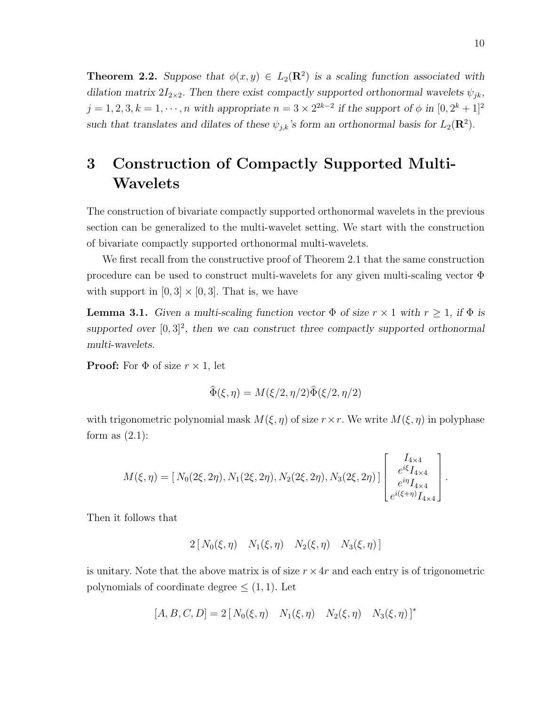**Theorem 2.2.** Suppose that  $\phi(x, y) \in L_2(\mathbb{R}^2)$  is a scaling function associated with dilation matrix  $2I_{2\times2}$ . Then there exist compactly supported orthonormal wavelets  $\psi_{jk}$ ,  $j = 1, 2, 3, k = 1, \dots, n$  with appropriate  $n = 3 \times 2^{2k-2}$  if the support of  $\phi$  in  $[0, 2^k + 1]^2$ such that translates and dilates of these  $\psi_{j,k}$ 's form an orthonormal basis for  $L_2(\mathbf{R}^2)$ .

## 3 Construction of Compactly Supported Multi-Wavelets

The construction of bivariate compactly supported orthonormal wavelets in the previous section can be generalized to the multi-wavelet setting. We start with the construction of bivariate compactly supported orthonormal multi-wavelets.

We first recall from the constructive proof of Theorem 2.1 that the same construction procedure can be used to construct multi-wavelets for any given multi-scaling vector Φ with support in  $[0, 3] \times [0, 3]$ . That is, we have

**Lemma 3.1.** Given a multi-scaling function vector  $\Phi$  of size  $r \times 1$  with  $r \geq 1$ , if  $\Phi$  is supported over  $[0,3]^2$ , then we can construct three compactly supported orthonormal multi-wavelets.

**Proof:** For  $\Phi$  of size  $r \times 1$ , let

$$
\widehat{\Phi}(\xi, \eta) = M(\xi/2, \eta/2)\widehat{\Phi}(\xi/2, \eta/2)
$$

with trigonometric polynomial mask  $M(\xi, \eta)$  of size  $r \times r$ . We write  $M(\xi, \eta)$  in polyphase form as  $(2.1)$ :

$$
M(\xi,\eta) = [N_0(2\xi,2\eta),N_1(2\xi,2\eta),N_2(2\xi,2\eta),N_3(2\xi,2\eta)] \begin{bmatrix} I_{4\times4} \\ e^{i\xi}I_{4\times4} \\ e^{i\eta}I_{4\times4} \\ e^{i(\xi+\eta)}I_{4\times4} \end{bmatrix}.
$$

Then it follows that

$$
2[N_0(\xi,\eta) \quad N_1(\xi,\eta) \quad N_2(\xi,\eta) \quad N_3(\xi,\eta)]
$$

is unitary. Note that the above matrix is of size  $r \times 4r$  and each entry is of trigonometric polynomials of coordinate degree  $\leq$  (1, 1). Let

$$
[A, B, C, D] = 2 [N_0(\xi, \eta) \quad N_1(\xi, \eta) \quad N_2(\xi, \eta) \quad N_3(\xi, \eta)]^*
$$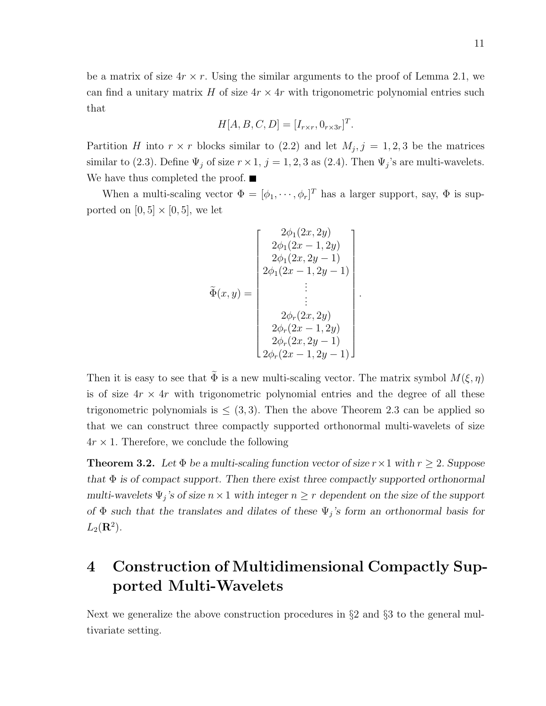be a matrix of size  $4r \times r$ . Using the similar arguments to the proof of Lemma 2.1, we can find a unitary matrix H of size  $4r \times 4r$  with trigonometric polynomial entries such that

$$
H[A, B, C, D] = [I_{r \times r}, 0_{r \times 3r}]^T.
$$

Partition H into  $r \times r$  blocks similar to (2.2) and let  $M_j$ ,  $j = 1, 2, 3$  be the matrices similar to (2.3). Define  $\Psi_j$  of size  $r \times 1$ ,  $j = 1, 2, 3$  as (2.4). Then  $\Psi_j$ 's are multi-wavelets. We have thus completed the proof.  $\blacksquare$ 

When a multi-scaling vector  $\Phi = [\phi_1, \cdots, \phi_r]^T$  has a larger support, say,  $\Phi$  is supported on  $[0, 5] \times [0, 5]$ , we let

$$
\tilde{\Phi}(x,y) = \begin{bmatrix} 2\phi_1(2x, 2y) \\ 2\phi_1(2x - 1, 2y) \\ 2\phi_1(2x, 2y - 1) \\ 2\phi_1(2x - 1, 2y - 1) \\ \vdots \\ 2\phi_r(2x - 1, 2y) \\ 2\phi_r(2x - 1, 2y) \\ 2\phi_r(2x - 1, 2y - 1) \\ 2\phi_r(2x - 1, 2y - 1) \end{bmatrix}.
$$

Then it is easy to see that  $\tilde{\Phi}$  is a new multi-scaling vector. The matrix symbol  $M(\xi, \eta)$ is of size  $4r \times 4r$  with trigonometric polynomial entries and the degree of all these trigonometric polynomials is  $\leq$  (3,3). Then the above Theorem 2.3 can be applied so that we can construct three compactly supported orthonormal multi-wavelets of size  $4r \times 1$ . Therefore, we conclude the following

**Theorem 3.2.** Let  $\Phi$  be a multi-scaling function vector of size  $r \times 1$  with  $r \geq 2$ . Suppose that  $\Phi$  is of compact support. Then there exist three compactly supported orthonormal multi-wavelets  $\Psi_j$ 's of size  $n \times 1$  with integer  $n \geq r$  dependent on the size of the support of  $\Phi$  such that the translates and dilates of these  $\Psi_j$ 's form an orthonormal basis for  $L_2(\mathbf{R}^2)$ .

## 4 Construction of Multidimensional Compactly Supported Multi-Wavelets

Next we generalize the above construction procedures in §2 and §3 to the general multivariate setting.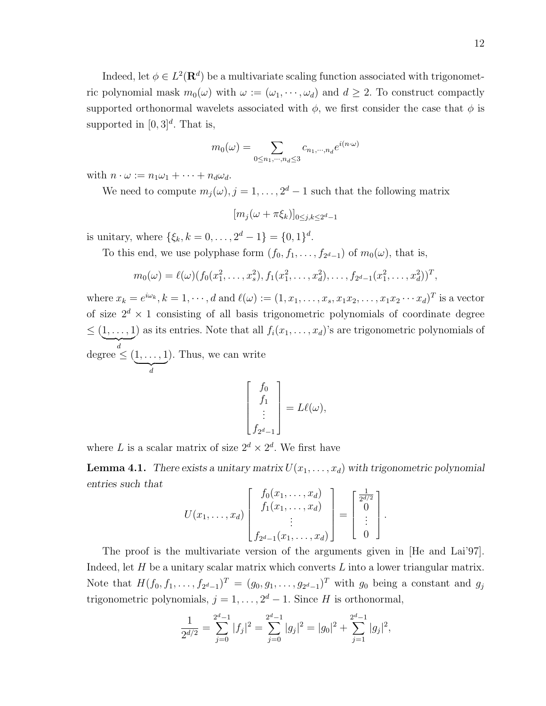Indeed, let  $\phi \in L^2(\mathbf{R}^d)$  be a multivariate scaling function associated with trigonometric polynomial mask  $m_0(\omega)$  with  $\omega := (\omega_1, \dots, \omega_d)$  and  $d \geq 2$ . To construct compactly supported orthonormal wavelets associated with  $\phi$ , we first consider the case that  $\phi$  is supported in  $[0,3]^d$ . That is,

$$
m_0(\omega) = \sum_{0 \le n_1, \cdots, n_d \le 3} c_{n_1, \cdots, n_d} e^{i(n \cdot \omega)}
$$

with  $n \cdot \omega := n_1 \omega_1 + \cdots + n_d \omega_d$ .

We need to compute  $m_j(\omega), j = 1, \ldots, 2^d - 1$  such that the following matrix

 $[m_j(\omega + \pi \xi_k)]_{0 \leq j,k \leq 2^d-1}$ 

is unitary, where  $\{\xi_k, k = 0, \ldots, 2^d - 1\} = \{0, 1\}^d$ .

To this end, we use polyphase form  $(f_0, f_1, \ldots, f_{2^d-1})$  of  $m_0(\omega)$ , that is,

$$
m_0(\omega) = \ell(\omega) (f_0(x_1^2, \ldots, x_s^2), f_1(x_1^2, \ldots, x_d^2), \ldots, f_{2^d-1}(x_1^2, \ldots, x_d^2))^T,
$$

where  $x_k = e^{i\omega_k}, k = 1, \cdots, d$  and  $\ell(\omega) := (1, x_1, \ldots, x_s, x_1x_2, \ldots, x_1x_2 \cdots x_d)^T$  is a vector of size  $2^d \times 1$  consisting of all basis trigonometric polynomials of coordinate degree  $\leq (\underbrace{1,\ldots,1})$  as its entries. Note that all  $f_i(x_1,\ldots,x_d)$ 's are trigonometric polynomials of degree  $\leq (\underbrace{1,\ldots,1}_{},$ d ). Thus, we can write

$$
\begin{bmatrix} f_0 \\ f_1 \\ \vdots \\ f_{2^d-1} \end{bmatrix} = L\ell(\omega),
$$

where L is a scalar matrix of size  $2^d \times 2^d$ . We first have

**Lemma 4.1.** There exists a unitary matrix  $U(x_1, \ldots, x_d)$  with trigonometric polynomial entries such that  $\overline{r}$  $f_0(x_1, \ldots, x_d)$  ]  $\overline{r}$  $\overline{a}$ 

$$
U(x_1, ..., x_d) \begin{bmatrix} f_0(x_1, ..., x_d) \\ f_1(x_1, ..., x_d) \\ \vdots \\ f_{2^d-1}(x_1, ..., x_d) \end{bmatrix} = \begin{bmatrix} \frac{1}{2^{d/2}} \\ 0 \\ \vdots \\ 0 \end{bmatrix}.
$$

The proof is the multivariate version of the arguments given in [He and Lai'97]. Indeed, let  $H$  be a unitary scalar matrix which converts  $L$  into a lower triangular matrix. Note that  $H(f_0, f_1, \ldots, f_{2^d-1})^T = (g_0, g_1, \ldots, g_{2^d-1})^T$  with  $g_0$  being a constant and  $g_j$ trigonometric polynomials,  $j = 1, ..., 2<sup>d</sup> - 1$ . Since H is orthonormal,

$$
\frac{1}{2^{d/2}} = \sum_{j=0}^{2^d-1} |f_j|^2 = \sum_{j=0}^{2^d-1} |g_j|^2 = |g_0|^2 + \sum_{j=1}^{2^d-1} |g_j|^2,
$$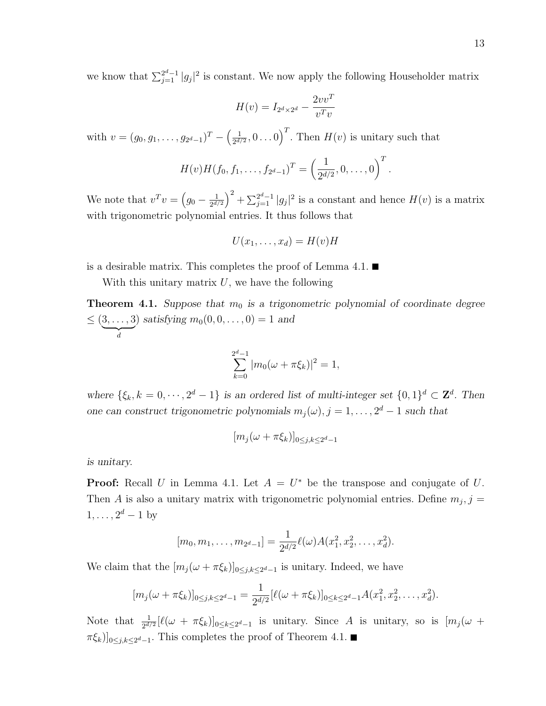we know that  $\sum_{j=1}^{2^d-1} |g_j|^2$  is constant. We now apply the following Householder matrix

$$
H(v) = I_{2^d \times 2^d} - \frac{2vv^T}{v^Tv}
$$

with  $v = (g_0, g_1, \ldots, g_{2^d-1})^T$  –  $\begin{pmatrix} 1 \end{pmatrix}$  $\frac{1}{2^{d/2}},0 \ldots 0$  $\sqrt{T}$ . Then  $H(v)$  is unitary such that

$$
H(v)H(f_0, f_1, \ldots, f_{2^d-1})^T = \left(\frac{1}{2^{d/2}}, 0, \ldots, 0\right)^T.
$$

We note that  $v^T v =$  $\overline{a}$  $g_0 - \frac{1}{2^{d/3}}$  $2^{d/2}$  $\sqrt{2}$  $+\sum_{j=1}^{2^d-1}|g_j|^2$  is a constant and hence  $H(v)$  is a matrix with trigonometric polynomial entries. It thus follows that

$$
U(x_1,\ldots,x_d)=H(v)H
$$

is a desirable matrix. This completes the proof of Lemma 4.1.  $\blacksquare$ 

With this unitary matrix  $U$ , we have the following

**Theorem 4.1.** Suppose that  $m_0$  is a trigonometric polynomial of coordinate degree  $\leq (\underbrace{3,\ldots,3}_{},$ d ) satisfying  $m_0(0, 0, \dots, 0) = 1$  and

$$
\sum_{k=0}^{2^d-1} |m_0(\omega + \pi \xi_k)|^2 = 1,
$$

where  $\{\xi_k, k = 0, \dots, 2^d - 1\}$  is an ordered list of multi-integer set  $\{0, 1\}^d \subset \mathbb{Z}^d$ . Then one can construct trigonometric polynomials  $m_j(\omega), j = 1, \ldots, 2^d - 1$  such that

$$
[m_j(\omega + \pi \xi_k)]_{0 \le j,k \le 2^d-1}
$$

is unitary.

**Proof:** Recall U in Lemma 4.1. Let  $A = U^*$  be the transpose and conjugate of U. Then A is also a unitary matrix with trigonometric polynomial entries. Define  $m_j$ ,  $j =$  $1, \ldots, 2^d - 1$  by

$$
[m_0, m_1, \ldots, m_{2^d-1}] = \frac{1}{2^{d/2}} \ell(\omega) A(x_1^2, x_2^2, \ldots, x_d^2).
$$

We claim that the  $[m_j(\omega + \pi \xi_k)]_{0 \leq j,k \leq 2^d-1}$  is unitary. Indeed, we have

$$
[m_j(\omega + \pi \xi_k)]_{0 \le j,k \le 2^d-1} = \frac{1}{2^{d/2}} [\ell(\omega + \pi \xi_k)]_{0 \le k \le 2^d-1} A(x_1^2, x_2^2, \dots, x_d^2).
$$

Note that  $\frac{1}{2^{d/2}}[\ell(\omega + \pi \xi_k)]_{0 \le k \le 2^d-1}$  is unitary. Since A is unitary, so is  $[m_j(\omega +$  $[\pi \xi_k]_{0 \leq j, k \leq 2^d-1}$ . This completes the proof of Theorem 4.1.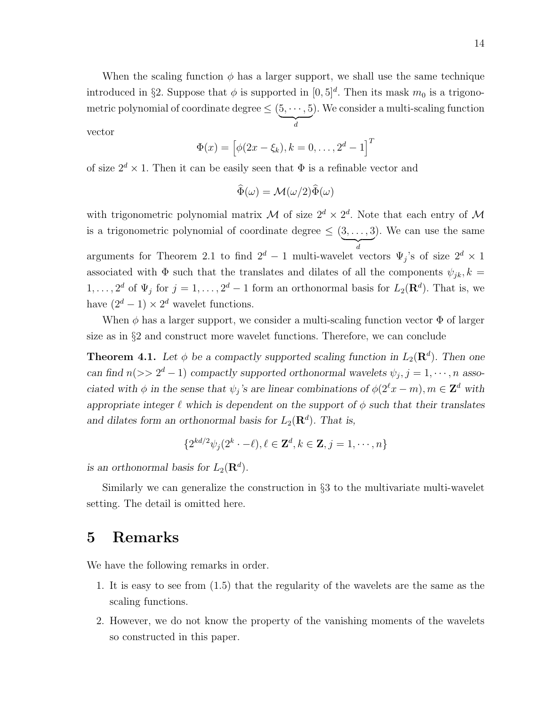When the scaling function  $\phi$  has a larger support, we shall use the same technique introduced in §2. Suppose that  $\phi$  is supported in  $[0,5]^d$ . Then its mask  $m_0$  is a trigonometric polynomial of coordinate degree  $\leq (\underbrace{5, \cdots, 5} )$ d ). We consider a multi-scaling function vector

$$
\Phi(x) = [\phi(2x - \xi_k), k = 0, ..., 2^d - 1]^T
$$

of size  $2^d \times 1$ . Then it can be easily seen that  $\Phi$  is a refinable vector and

$$
\widehat{\Phi}(\omega) = \mathcal{M}(\omega/2)\widehat{\Phi}(\omega)
$$

with trigonometric polynomial matrix M of size  $2^d \times 2^d$ . Note that each entry of M is a trigonometric polynomial of coordinate degree  $\leq$   $(3, \ldots, 3)$ d ). We can use the same arguments for Theorem 2.1 to find  $2^d - 1$  multi-wavelet vectors  $\Psi_j$ 's of size  $2^d \times 1$ associated with  $\Phi$  such that the translates and dilates of all the components  $\psi_{jk}, k =$  $1, \ldots, 2^d$  of  $\Psi_j$  for  $j = 1, \ldots, 2^d - 1$  form an orthonormal basis for  $L_2(\mathbf{R}^d)$ . That is, we have  $(2^d - 1) \times 2^d$  wavelet functions.

When  $\phi$  has a larger support, we consider a multi-scaling function vector  $\Phi$  of larger size as in §2 and construct more wavelet functions. Therefore, we can conclude

**Theorem 4.1.** Let  $\phi$  be a compactly supported scaling function in  $L_2(\mathbf{R}^d)$ . Then one can find  $n(>> 2^d - 1)$  compactly supported orthonormal wavelets  $\psi_j, j = 1, \dots, n$  associated with  $\phi$  in the sense that  $\psi_j$ 's are linear combinations of  $\phi(2^{\ell}x - m)$ ,  $m \in \mathbb{Z}^d$  with appropriate integer  $\ell$  which is dependent on the support of  $\phi$  such that their translates and dilates form an orthonormal basis for  $L_2(\mathbf{R}^d)$ . That is,

$$
\{2^{kd/2}\psi_j(2^k\cdot-\ell), \ell\in\mathbf{Z}^d, k\in\mathbf{Z}, j=1,\cdots,n\}
$$

is an orthonormal basis for  $L_2(\mathbf{R}^d)$ .

Similarly we can generalize the construction in  $\S$ 3 to the multivariate multi-wavelet setting. The detail is omitted here.

### 5 Remarks

We have the following remarks in order.

- 1. It is easy to see from (1.5) that the regularity of the wavelets are the same as the scaling functions.
- 2. However, we do not know the property of the vanishing moments of the wavelets so constructed in this paper.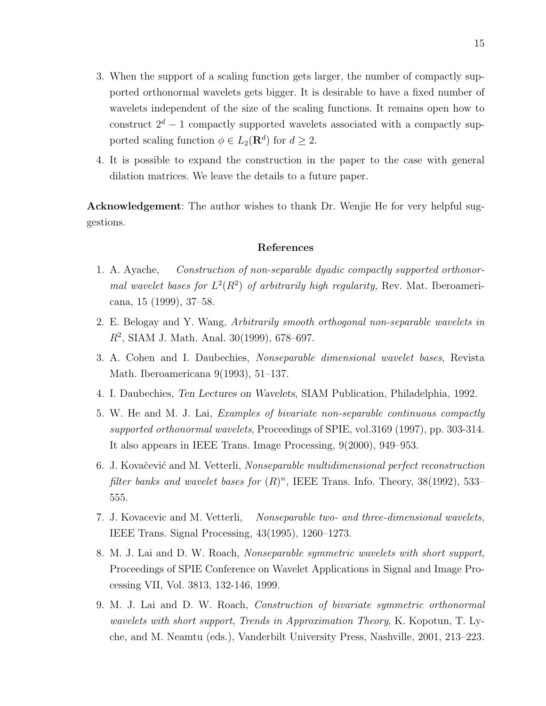- 3. When the support of a scaling function gets larger, the number of compactly supported orthonormal wavelets gets bigger. It is desirable to have a fixed number of wavelets independent of the size of the scaling functions. It remains open how to construct  $2^d - 1$  compactly supported wavelets associated with a compactly supported scaling function  $\phi \in L_2(\mathbf{R}^d)$  for  $d \geq 2$ .
- 4. It is possible to expand the construction in the paper to the case with general dilation matrices. We leave the details to a future paper.

Acknowledgement: The author wishes to thank Dr. Wenjie He for very helpful suggestions.

#### References

- 1. A. Ayache, Construction of non-separable dyadic compactly supported orthonormal wavelet bases for  $L^2(R^2)$  of arbitrarily high regularity, Rev. Mat. Iberoamericana, 15 (1999), 37–58.
- 2. E. Belogay and Y. Wang, Arbitrarily smooth orthogonal non-separable wavelets in  $R^2$ , SIAM J. Math. Anal. 30(1999), 678-697.
- 3. A. Cohen and I. Daubechies, Nonseparable dimensional wavelet bases, Revista Math. Iberoamericana 9(1993), 51–137.
- 4. I. Daubechies, Ten Lectures on Wavelets, SIAM Publication, Philadelphia, 1992.
- 5. W. He and M. J. Lai, Examples of bivariate non-separable continuous compactly supported orthonormal wavelets, Proceedings of SPIE, vol.3169 (1997), pp. 303-314. It also appears in IEEE Trans. Image Processing, 9(2000), 949–953.
- 6. J. Kovačević and M. Vetterli, Nonseparable multidimensional perfect reconstruction filter banks and wavelet bases for  $(R)^n$ , IEEE Trans. Info. Theory, 38(1992), 533-555.
- 7. J. Kovacevic and M. Vetterli, Nonseparable two- and three-dimensional wavelets, IEEE Trans. Signal Processing, 43(1995), 1260–1273.
- 8. M. J. Lai and D. W. Roach, Nonseparable symmetric wavelets with short support, Proceedings of SPIE Conference on Wavelet Applications in Signal and Image Processing VII, Vol. 3813, 132-146, 1999.
- 9. M. J. Lai and D. W. Roach, Construction of bivariate symmetric orthonormal wavelets with short support, Trends in Approximation Theory, K. Kopotun, T. Lyche, and M. Neamtu (eds.), Vanderbilt University Press, Nashville, 2001, 213–223.